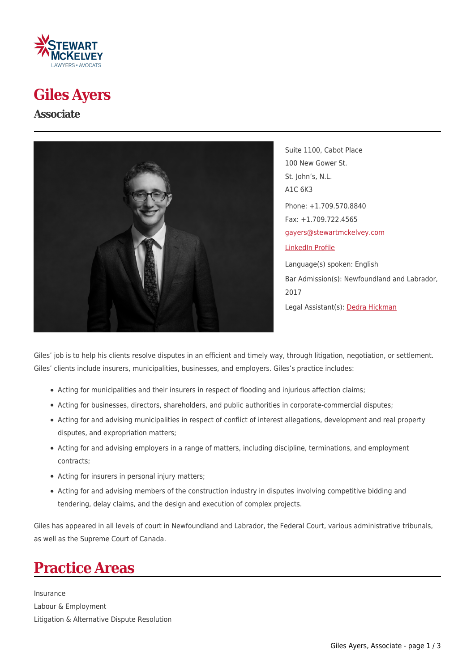

### **Giles Ayers**

**Associate**



Suite 1100, Cabot Place 100 New Gower St. St. John's, N.L. A1C 6K3 Phone: +1.709.570.8840 Fax: +1.709.722.4565 [gayers@stewartmckelvey.com](mailto:gayers@stewartmckelvey.com) [LinkedIn Profile](https://www.linkedin.com/in/giles-ayers-a78b8b9b/?originalSubdomain=ca) Language(s) spoken: English Bar Admission(s): Newfoundland and Labrador, 2017 Legal Assistant(s): [Dedra Hickman](https://www.stewartmckelvey.com/legal_assistant/hickman-dedra)

Giles' job is to help his clients resolve disputes in an efficient and timely way, through litigation, negotiation, or settlement. Giles' clients include insurers, municipalities, businesses, and employers. Giles's practice includes:

- Acting for municipalities and their insurers in respect of flooding and injurious affection claims;
- Acting for businesses, directors, shareholders, and public authorities in corporate-commercial disputes;
- Acting for and advising municipalities in respect of conflict of interest allegations, development and real property disputes, and expropriation matters;
- Acting for and advising employers in a range of matters, including discipline, terminations, and employment contracts;
- Acting for insurers in personal injury matters;
- Acting for and advising members of the construction industry in disputes involving competitive bidding and tendering, delay claims, and the design and execution of complex projects.

Giles has appeared in all levels of court in Newfoundland and Labrador, the Federal Court, various administrative tribunals, as well as the Supreme Court of Canada.

# **Practice Areas**

Insurance Labour & Employment Litigation & Alternative Dispute Resolution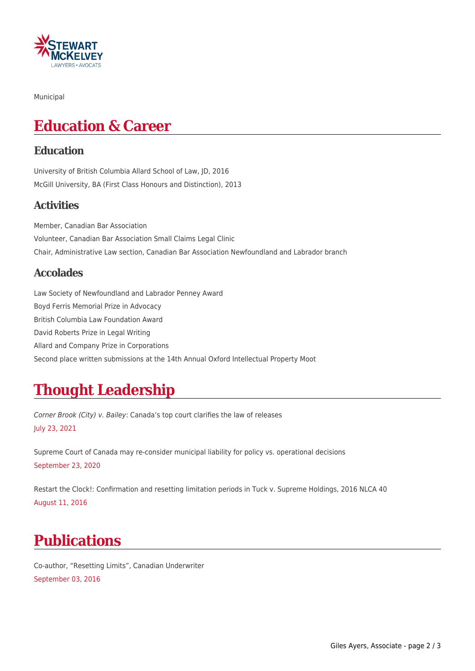

Municipal

# **Education & Career**

#### **Education**

University of British Columbia Allard School of Law, JD, 2016 McGill University, BA (First Class Honours and Distinction), 2013

#### **Activities**

Member, Canadian Bar Association Volunteer, Canadian Bar Association Small Claims Legal Clinic Chair, Administrative Law section, Canadian Bar Association Newfoundland and Labrador branch

#### **Accolades**

Law Society of Newfoundland and Labrador Penney Award Boyd Ferris Memorial Prize in Advocacy British Columbia Law Foundation Award David Roberts Prize in Legal Writing Allard and Company Prize in Corporations Second place written submissions at the 14th Annual Oxford Intellectual Property Moot

## **Thought Leadership**

Corner Brook (City) v. Bailey: Canada's top court clarifies the law of releases July 23, 2021

Supreme Court of Canada may re-consider municipal liability for policy vs. operational decisions September 23, 2020

Restart the Clock!: Confirmation and resetting limitation periods in Tuck v. Supreme Holdings, 2016 NLCA 40 August 11, 2016

## **Publications**

Co-author, "Resetting Limits", Canadian Underwriter September 03, 2016